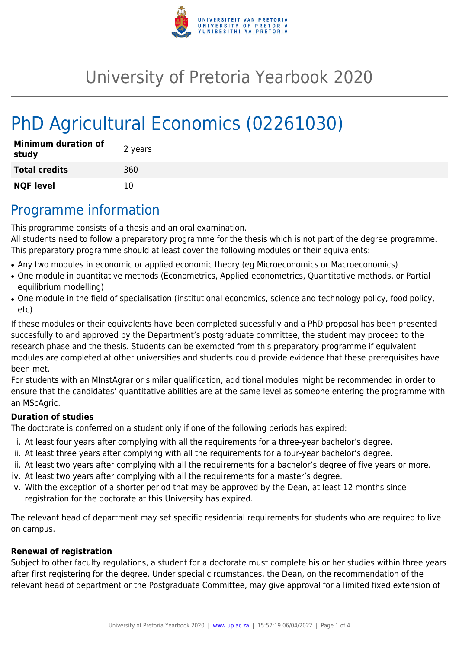

# University of Pretoria Yearbook 2020

# PhD Agricultural Economics (02261030)

| <b>Minimum duration of</b><br>study | 2 years |
|-------------------------------------|---------|
| <b>Total credits</b>                | 360     |
| <b>NQF level</b>                    | 10      |

## Programme information

This programme consists of a thesis and an oral examination.

All students need to follow a preparatory programme for the thesis which is not part of the degree programme. This preparatory programme should at least cover the following modules or their equivalents:

- Any two modules in economic or applied economic theory (eg Microeconomics or Macroeconomics)
- One module in quantitative methods (Econometrics, Applied econometrics, Quantitative methods, or Partial equilibrium modelling)
- One module in the field of specialisation (institutional economics, science and technology policy, food policy, etc)

If these modules or their equivalents have been completed sucessfully and a PhD proposal has been presented succesfully to and approved by the Department's postgraduate committee, the student may proceed to the research phase and the thesis. Students can be exempted from this preparatory programme if equivalent modules are completed at other universities and students could provide evidence that these prerequisites have been met.

For students with an MInstAgrar or similar qualification, additional modules might be recommended in order to ensure that the candidates' quantitative abilities are at the same level as someone entering the programme with an MScAgric.

#### **Duration of studies**

The doctorate is conferred on a student only if one of the following periods has expired:

- i. At least four years after complying with all the requirements for a three-year bachelor's degree.
- ii. At least three years after complying with all the requirements for a four-year bachelor's degree.
- iii. At least two years after complying with all the requirements for a bachelor's degree of five years or more.
- iv. At least two years after complying with all the requirements for a master's degree.
- v. With the exception of a shorter period that may be approved by the Dean, at least 12 months since registration for the doctorate at this University has expired.

The relevant head of department may set specific residential requirements for students who are required to live on campus.

#### **Renewal of registration**

Subject to other faculty regulations, a student for a doctorate must complete his or her studies within three years after first registering for the degree. Under special circumstances, the Dean, on the recommendation of the relevant head of department or the Postgraduate Committee, may give approval for a limited fixed extension of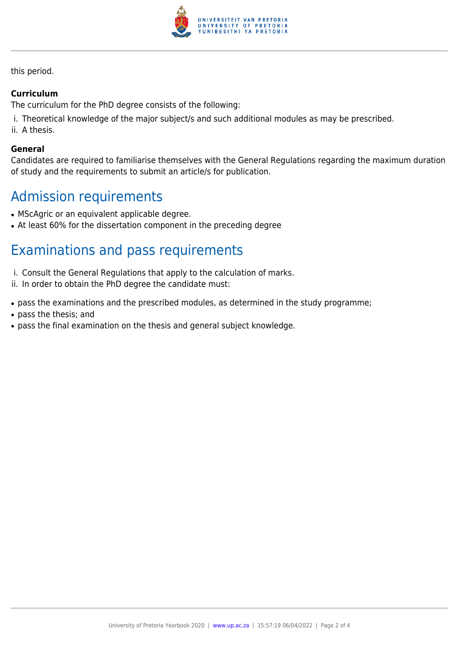

this period.

#### **Curriculum**

The curriculum for the PhD degree consists of the following:

- i. Theoretical knowledge of the major subject/s and such additional modules as may be prescribed.
- ii. A thesis.

#### **General**

Candidates are required to familiarise themselves with the General Regulations regarding the maximum duration of study and the requirements to submit an article/s for publication.

## Admission requirements

- MScAgric or an equivalent applicable degree.
- At least 60% for the dissertation component in the preceding degree

# Examinations and pass requirements

- i. Consult the General Regulations that apply to the calculation of marks.
- ii. In order to obtain the PhD degree the candidate must:
- pass the examinations and the prescribed modules, as determined in the study programme;
- pass the thesis; and
- pass the final examination on the thesis and general subject knowledge.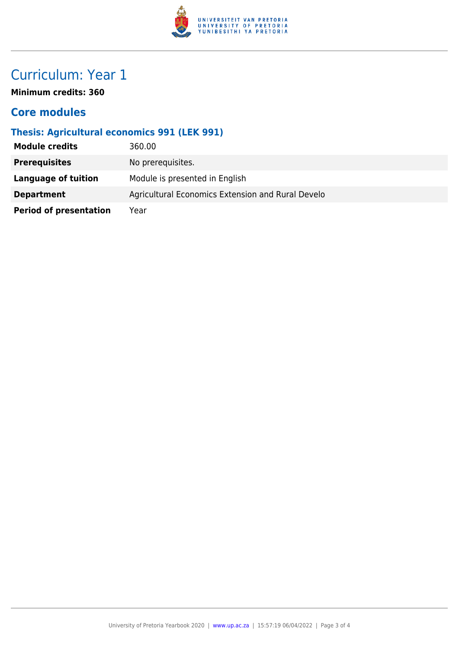

# Curriculum: Year 1

**Minimum credits: 360**

### **Core modules**

### **Thesis: Agricultural economics 991 (LEK 991)**

| <b>Module credits</b>         | 360.00                                            |
|-------------------------------|---------------------------------------------------|
| <b>Prerequisites</b>          | No prerequisites.                                 |
| Language of tuition           | Module is presented in English                    |
| <b>Department</b>             | Agricultural Economics Extension and Rural Develo |
| <b>Period of presentation</b> | Year                                              |